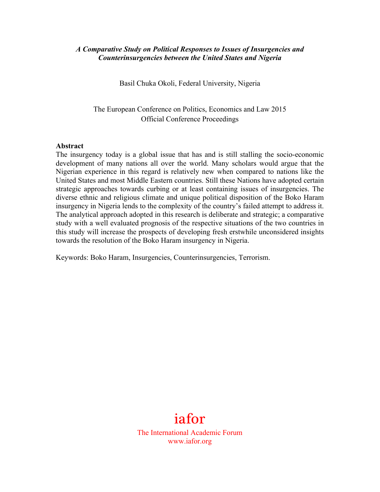## *A Comparative Study on Political Responses to Issues of Insurgencies and Counterinsurgencies between the United States and Nigeria*

Basil Chuka Okoli, Federal University, Nigeria

The European Conference on Politics, Economics and Law 2015 Official Conference Proceedings

#### **Abstract**

The insurgency today is a global issue that has and is still stalling the socio-economic development of many nations all over the world. Many scholars would argue that the Nigerian experience in this regard is relatively new when compared to nations like the United States and most Middle Eastern countries. Still these Nations have adopted certain strategic approaches towards curbing or at least containing issues of insurgencies. The diverse ethnic and religious climate and unique political disposition of the Boko Haram insurgency in Nigeria lends to the complexity of the country's failed attempt to address it. The analytical approach adopted in this research is deliberate and strategic; a comparative study with a well evaluated prognosis of the respective situations of the two countries in this study will increase the prospects of developing fresh erstwhile unconsidered insights towards the resolution of the Boko Haram insurgency in Nigeria.

Keywords: Boko Haram, Insurgencies, Counterinsurgencies, Terrorism.

# iafor

The International Academic Forum www.iafor.org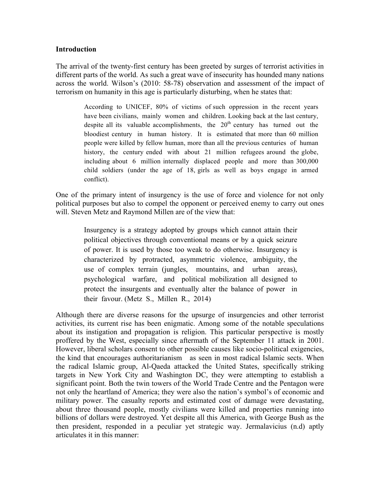## **Introduction**

The arrival of the twenty-first century has been greeted by surges of terrorist activities in different parts of the world. As such a great wave of insecurity has hounded many nations across the world. Wilson's (2010: 58-78) observation and assessment of the impact of terrorism on humanity in this age is particularly disturbing, when he states that:

> According to UNICEF, 80% of victims of such oppression in the recent years have been civilians, mainly women and children. Looking back at the last century, despite all its valuable accomplishments, the  $20<sup>th</sup>$  century has turned out the bloodiest century in human history. It is estimated that more than 60 million people were killed by fellow human, more than all the previous centuries of human history, the century ended with about 21 million refugees around the globe, including about 6 million internally displaced people and more than 300,000 child soldiers (under the age of 18, girls as well as boys engage in armed conflict).

One of the primary intent of insurgency is the use of force and violence for not only political purposes but also to compel the opponent or perceived enemy to carry out ones will. Steven Metz and Raymond Millen are of the view that:

> Insurgency is a strategy adopted by groups which cannot attain their political objectives through conventional means or by a quick seizure of power. It is used by those too weak to do otherwise. Insurgency is characterized by protracted, asymmetric violence, ambiguity, the use of complex terrain (jungles, mountains, and urban areas), psychological warfare, and political mobilization all designed to protect the insurgents and eventually alter the balance of power in their favour. (Metz S., Millen R., 2014)

Although there are diverse reasons for the upsurge of insurgencies and other terrorist activities, its current rise has been enigmatic. Among some of the notable speculations about its instigation and propagation is religion. This particular perspective is mostly proffered by the West, especially since aftermath of the September 11 attack in 2001. However, liberal scholars consent to other possible causes like socio-political exigencies, the kind that encourages authoritarianism as seen in most radical Islamic sects. When the radical Islamic group, Al-Qaeda attacked the United States, specifically striking targets in New York City and Washington DC, they were attempting to establish a significant point. Both the twin towers of the World Trade Centre and the Pentagon were not only the heartland of America; they were also the nation's symbol's of economic and military power. The casualty reports and estimated cost of damage were devastating, about three thousand people, mostly civilians were killed and properties running into billions of dollars were destroyed. Yet despite all this America, with George Bush as the then president, responded in a peculiar yet strategic way. Jermalavicius (n.d) aptly articulates it in this manner: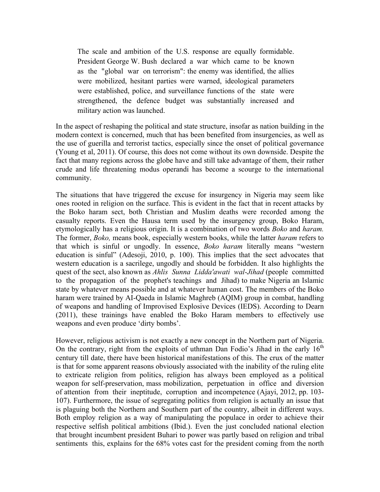The scale and ambition of the U.S. response are equally formidable. President George W. Bush declared a war which came to be known as the "global war on terrorism": the enemy was identified, the allies were mobilized, hesitant parties were warned, ideological parameters were established, police, and surveillance functions of the state were strengthened, the defence budget was substantially increased and military action was launched.

In the aspect of reshaping the political and state structure, insofar as nation building in the modern context is concerned, much that has been benefited from insurgencies, as well as the use of guerilla and terrorist tactics, especially since the onset of political governance (Young et al, 2011). Of course, this does not come without its own downside. Despite the fact that many regions across the globe have and still take advantage of them, their rather crude and life threatening modus operandi has become a scourge to the international community.

The situations that have triggered the excuse for insurgency in Nigeria may seem like ones rooted in religion on the surface. This is evident in the fact that in recent attacks by the Boko haram sect, both Christian and Muslim deaths were recorded among the casualty reports. Even the Hausa term used by the insurgency group, Boko Haram, etymologically has a religious origin. It is a combination of two words *Boko* and *haram.*  The former, *Boko,* means book, especially western books, while the latter *haram* refers to that which is sinful or ungodly. In essence, *Boko haram* literally means "western education is sinful" (Adesoji, 2010, p. 100). This implies that the sect advocates that western education is a sacrilege, ungodly and should be forbidden. It also highlights the quest of the sect, also known as *Ahlis Sunna Lidda'awati wal-Jihad* (people committed to the propagation of the prophet's teachings and Jihad) to make Nigeria an Islamic state by whatever means possible and at whatever human cost. The members of the Boko haram were trained by AI-Qaeda in Islamic Maghreb (AQIM) group in combat, handling of weapons and handling of Improvised Explosive Devices (IEDS). According to Dearn (2011), these trainings have enabled the Boko Haram members to effectively use weapons and even produce 'dirty bombs'.

However, religious activism is not exactly a new concept in the Northern part of Nigeria. On the contrary, right from the exploits of uthman Dan Fodio's Jihad in the early  $16<sup>th</sup>$ century till date, there have been historical manifestations of this. The crux of the matter is that for some apparent reasons obviously associated with the inability of the ruling elite to extricate religion from politics, religion has always been employed as a political weapon for self-preservation, mass mobilization, perpetuation in office and diversion of attention from their ineptitude, corruption and incompetence (Ajayi, 2012, pp. 103- 107). Furthermore, the issue of segregating politics from religion is actually an issue that is plaguing both the Northern and Southern part of the country, albeit in different ways. Both employ religion as a way of manipulating the populace in order to achieve their respective selfish political ambitions (Ibid.). Even the just concluded national election that brought incumbent president Buhari to power was partly based on religion and tribal sentiments this, explains for the 68% votes cast for the president coming from the north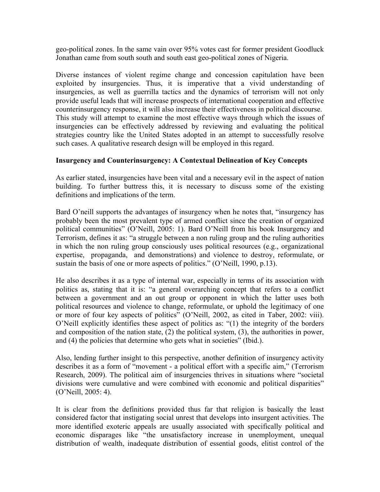geo-political zones. In the same vain over 95% votes cast for former president Goodluck Jonathan came from south south and south east geo-political zones of Nigeria.

Diverse instances of violent regime change and concession capitulation have been exploited by insurgencies. Thus, it is imperative that a vivid understanding of insurgencies, as well as guerrilla tactics and the dynamics of terrorism will not only provide useful leads that will increase prospects of international cooperation and effective counterinsurgency response, it will also increase their effectiveness in political discourse. This study will attempt to examine the most effective ways through which the issues of insurgencies can be effectively addressed by reviewing and evaluating the political strategies country like the United States adopted in an attempt to successfully resolve such cases. A qualitative research design will be employed in this regard.

# **Insurgency and Counterinsurgency: A Contextual Delineation of Key Concepts**

As earlier stated, insurgencies have been vital and a necessary evil in the aspect of nation building. To further buttress this, it is necessary to discuss some of the existing definitions and implications of the term.

Bard O'neill supports the advantages of insurgency when he notes that, "insurgency has probably been the most prevalent type of armed conflict since the creation of organized political communities" (O'Neill, 2005: 1). Bard O'Neill from his book Insurgency and Terrorism, defines it as: "a struggle between a non ruling group and the ruling authorities in which the non ruling group consciously uses political resources (e.g., organizational expertise, propaganda, and demonstrations) and violence to destroy, reformulate, or sustain the basis of one or more aspects of politics." (O'Neill, 1990, p.13).

He also describes it as a type of internal war, especially in terms of its association with politics as, stating that it is: "a general overarching concept that refers to a conflict between a government and an out group or opponent in which the latter uses both political resources and violence to change, reformulate, or uphold the legitimacy of one or more of four key aspects of politics" (O'Neill, 2002, as cited in Taber, 2002: viii). O'Neill explicitly identifies these aspect of politics as: "(1) the integrity of the borders and composition of the nation state, (2) the political system, (3), the authorities in power, and (4) the policies that determine who gets what in societies" (Ibid.).

Also, lending further insight to this perspective, another definition of insurgency activity describes it as a form of "movement - a political effort with a specific aim," (Terrorism Research, 2009). The political aim of insurgencies thrives in situations where "societal divisions were cumulative and were combined with economic and political disparities" (O'Neill, 2005: 4).

It is clear from the definitions provided thus far that religion is basically the least considered factor that instigating social unrest that develops into insurgent activities. The more identified exoteric appeals are usually associated with specifically political and economic disparages like "the unsatisfactory increase in unemployment, unequal distribution of wealth, inadequate distribution of essential goods, elitist control of the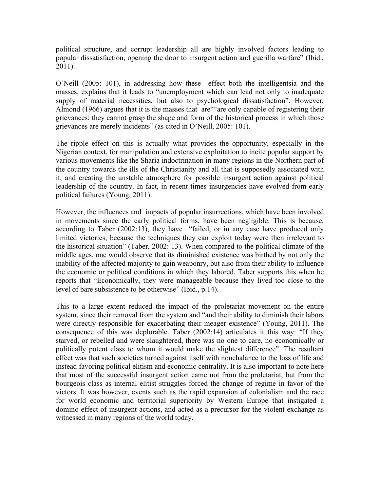political structure, and corrupt leadership all are highly involved factors leading to popular dissatisfaction, opening the door to insurgent action and guerilla warfare" (Ibid., 2011).

O'Neill (2005: 101), in addressing how these effect both the intelligentsia and the masses, explains that it leads to "unemployment which can lead not only to inadequate supply of material necessities, but also to psychological dissatisfaction". However, Almond (1966) argues that it is the masses that are""are only capable of registering their grievances; they cannot grasp the shape and form of the historical process in which those grievances are merely incidents" (as cited in O'Neill, 2005: 101).

The ripple effect on this is actually what provides the opportunity, especially in the Nigerian context, for manipulation and extensive exploitation to incite popular support by various movements like the Sharia indoctrination in many regions in the Northern part of the country towards the ills of the Christianity and all that is supposedly associated with it, and creating the unstable atmosphere for possible insurgent action against political leadership of the country. In fact, in recent times insurgencies have evolved from early political failures (Young, 2011).

However, the influences and impacts of popular insurrections, which have been involved in movements since the early political forms, have been negligible. This is because, according to Taber (2002:13), they have "failed, or in any case have produced only limited victories, because the techniques they can exploit today were then irrelevant to the historical situation" (Taber, 2002: 13). When compared to the political climate of the middle ages, one would observe that its diminished existence was birthed by not only the inability of the affected majority to gain weaponry, but also from their ability to influence the economic or political conditions in which they labored. Taber supports this when he reports that "Economically, they were manageable because they lived too close to the level of bare subsistence to be otherwise" (Ibid., p.14).

This to a large extent reduced the impact of the proletariat movement on the entire system, since their removal from the system and "and their ability to diminish their labors were directly responsible for exacerbating their meager existence" (Young, 2011). The consequence of this was deplorable. Taber (2002:14) articulates it this way: "If they starved, or rebelled and were slaughtered, there was no one to care, no economically or politically potent class to whom it would make the slightest difference". The resultant effect was that such societies turned against itself with nonchalance to the loss of life and instead favoring political elitism and economic centrality. It is also important to note here that most of the successful insurgent action came not from the proletariat, but from the bourgeois class as internal elitist struggles forced the change of regime in favor of the victors. It was however, events such as the rapid expansion of colonialism and the race for world economic and territorial superiority by Western Europe that instigated a domino effect of insurgent actions, and acted as a precursor for the violent exchange as witnessed in many regions of the world today.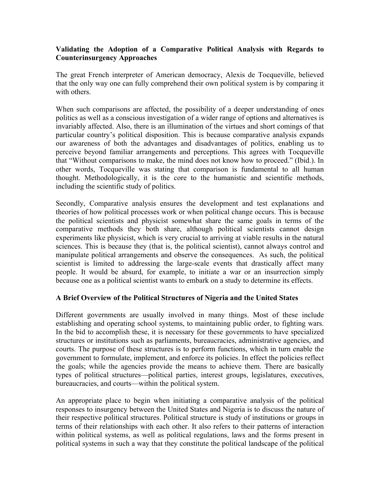# **Validating the Adoption of a Comparative Political Analysis with Regards to Counterinsurgency Approaches**

The great French interpreter of American democracy, Alexis de Tocqueville, believed that the only way one can fully comprehend their own political system is by comparing it with others.

When such comparisons are affected, the possibility of a deeper understanding of ones politics as well as a conscious investigation of a wider range of options and alternatives is invariably affected. Also, there is an illumination of the virtues and short comings of that particular country's political disposition. This is because comparative analysis expands our awareness of both the advantages and disadvantages of politics, enabling us to perceive beyond familiar arrangements and perceptions. This agrees with Tocqueville that "Without comparisons to make, the mind does not know how to proceed." (Ibid.). In other words, Tocqueville was stating that comparison is fundamental to all human thought. Methodologically, it is the core to the humanistic and scientific methods, including the scientific study of politics.

Secondly, Comparative analysis ensures the development and test explanations and theories of how political processes work or when political change occurs. This is because the political scientists and physicist somewhat share the same goals in terms of the comparative methods they both share, although political scientists cannot design experiments like physicist, which is very crucial to arriving at viable results in the natural sciences. This is because they (that is, the political scientist), cannot always control and manipulate political arrangements and observe the consequences. As such, the political scientist is limited to addressing the large-scale events that drastically affect many people. It would be absurd, for example, to initiate a war or an insurrection simply because one as a political scientist wants to embark on a study to determine its effects.

# **A Brief Overview of the Political Structures of Nigeria and the United States**

Different governments are usually involved in many things. Most of these include establishing and operating school systems, to maintaining public order, to fighting wars. In the bid to accomplish these, it is necessary for these governments to have specialized structures or institutions such as parliaments, bureaucracies, administrative agencies, and courts. The purpose of these structures is to perform functions, which in turn enable the government to formulate, implement, and enforce its policies. In effect the policies reflect the goals; while the agencies provide the means to achieve them. There are basically types of political structures—political parties, interest groups, legislatures, executives, bureaucracies, and courts—within the political system.

An appropriate place to begin when initiating a comparative analysis of the political responses to insurgency between the United States and Nigeria is to discuss the nature of their respective political structures. Political structure is study of institutions or groups in terms of their relationships with each other. It also refers to their patterns of interaction within political systems, as well as political regulations, laws and the forms present in political systems in such a way that they constitute the political landscape of the political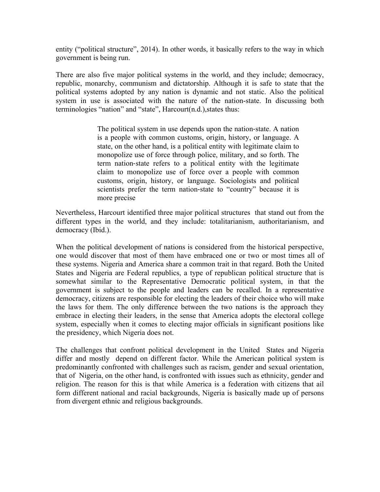entity ("political structure", 2014). In other words, it basically refers to the way in which government is being run.

There are also five major political systems in the world, and they include; democracy, republic, monarchy, communism and dictatorship. Although it is safe to state that the political systems adopted by any nation is dynamic and not static. Also the political system in use is associated with the nature of the nation-state. In discussing both terminologies "nation" and "state", Harcourt(n.d.),states thus:

> The political system in use depends upon the nation-state. A nation is a people with common customs, origin, history, or language. A state, on the other hand, is a political entity with legitimate claim to monopolize use of force through police, military, and so forth. The term nation-state refers to a political entity with the legitimate claim to monopolize use of force over a people with common customs, origin, history, or language. Sociologists and political scientists prefer the term nation-state to "country" because it is more precise

Nevertheless, Harcourt identified three major political structures that stand out from the different types in the world, and they include: totalitarianism, authoritarianism, and democracy (Ibid.).

When the political development of nations is considered from the historical perspective, one would discover that most of them have embraced one or two or most times all of these systems. Nigeria and America share a common trait in that regard. Both the United States and Nigeria are Federal republics, a type of republican political structure that is somewhat similar to the Representative Democratic political system, in that the government is subject to the people and leaders can be recalled. In a representative democracy, citizens are responsible for electing the leaders of their choice who will make the laws for them. The only difference between the two nations is the approach they embrace in electing their leaders, in the sense that America adopts the electoral college system, especially when it comes to electing major officials in significant positions like the presidency, which Nigeria does not.

The challenges that confront political development in the United States and Nigeria differ and mostly depend on different factor. While the American political system is predominantly confronted with challenges such as racism, gender and sexual orientation, that of Nigeria, on the other hand, is confronted with issues such as ethnicity, gender and religion. The reason for this is that while America is a federation with citizens that ail form different national and racial backgrounds, Nigeria is basically made up of persons from divergent ethnic and religious backgrounds.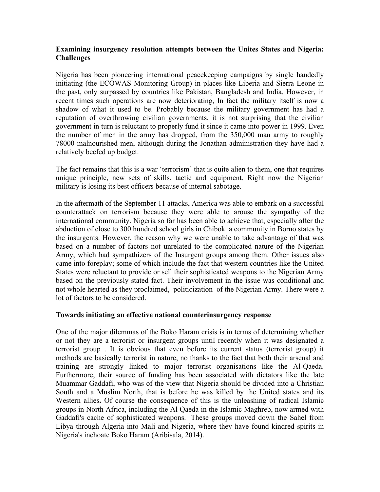# **Examining insurgency resolution attempts between the Unites States and Nigeria: Challenges**

Nigeria has been pioneering international peacekeeping campaigns by single handedly initiating (the ECOWAS Monitoring Group) in places like Liberia and Sierra Leone in the past, only surpassed by countries like Pakistan, Bangladesh and India. However, in recent times such operations are now deteriorating, In fact the military itself is now a shadow of what it used to be. Probably because the military government has had a reputation of overthrowing civilian governments, it is not surprising that the civilian government in turn is reluctant to properly fund it since it came into power in 1999. Even the number of men in the army has dropped, from the 350,000 man army to roughly 78000 malnourished men, although during the Jonathan administration they have had a relatively beefed up budget.

The fact remains that this is a war 'terrorism' that is quite alien to them, one that requires unique principle, new sets of skills, tactic and equipment. Right now the Nigerian military is losing its best officers because of internal sabotage.

In the aftermath of the September 11 attacks, America was able to embark on a successful counterattack on terrorism because they were able to arouse the sympathy of the international community. Nigeria so far has been able to achieve that, especially after the abduction of close to 300 hundred school girls in Chibok a community in Borno states by the insurgents. However, the reason why we were unable to take advantage of that was based on a number of factors not unrelated to the complicated nature of the Nigerian Army, which had sympathizers of the Insurgent groups among them. Other issues also came into foreplay; some of which include the fact that western countries like the United States were reluctant to provide or sell their sophisticated weapons to the Nigerian Army based on the previously stated fact. Their involvement in the issue was conditional and not whole hearted as they proclaimed, politicization of the Nigerian Army. There were a lot of factors to be considered.

## **Towards initiating an effective national counterinsurgency response**

One of the major dilemmas of the Boko Haram crisis is in terms of determining whether or not they are a terrorist or insurgent groups until recently when it was designated a terrorist group . It is obvious that even before its current status (terrorist group) it methods are basically terrorist in nature, no thanks to the fact that both their arsenal and training are strongly linked to major terrorist organisations like the Al-Qaeda. Furthermore, their source of funding has been associated with dictators like the late Muammar Gaddafi, who was of the view that Nigeria should be divided into a Christian South and a Muslim North, that is before he was killed by the United states and its Western allies**.** Of course the consequence of this is the unleashing of radical Islamic groups in North Africa, including the Al Qaeda in the Islamic Maghreb, now armed with Gaddafi's cache of sophisticated weapons. These groups moved down the Sahel from Libya through Algeria into Mali and Nigeria, where they have found kindred spirits in Nigeria's inchoate Boko Haram (Aribisala, 2014).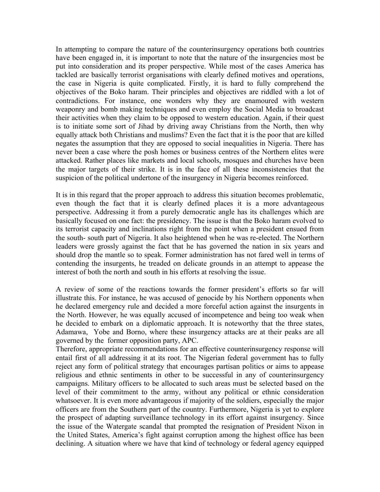In attempting to compare the nature of the counterinsurgency operations both countries have been engaged in, it is important to note that the nature of the insurgencies most be put into consideration and its proper perspective. While most of the cases America has tackled are basically terrorist organisations with clearly defined motives and operations, the case in Nigeria is quite complicated. Firstly, it is hard to fully comprehend the objectives of the Boko haram. Their principles and objectives are riddled with a lot of contradictions. For instance, one wonders why they are enamoured with western weaponry and bomb making techniques and even employ the Social Media to broadcast their activities when they claim to be opposed to western education. Again, if their quest is to initiate some sort of Jihad by driving away Christians from the North, then why equally attack both Christians and muslims? Even the fact that it is the poor that are killed negates the assumption that they are opposed to social inequalities in Nigeria. There has never been a case where the posh homes or business centres of the Northern elites were attacked. Rather places like markets and local schools, mosques and churches have been the major targets of their strike. It is in the face of all these inconsistencies that the suspicion of the political undertone of the insurgency in Nigeria becomes reinforced.

It is in this regard that the proper approach to address this situation becomes problematic, even though the fact that it is clearly defined places it is a more advantageous perspective. Addressing it from a purely democratic angle has its challenges which are basically focused on one fact: the presidency. The issue is that the Boko haram evolved to its terrorist capacity and inclinations right from the point when a president ensued from the south- south part of Nigeria. It also heightened when he was re-elected. The Northern leaders were grossly against the fact that he has governed the nation in six years and should drop the mantle so to speak. Former administration has not fared well in terms of contending the insurgents, he treaded on delicate grounds in an attempt to appease the interest of both the north and south in his efforts at resolving the issue.

A review of some of the reactions towards the former president's efforts so far will illustrate this. For instance, he was accused of genocide by his Northern opponents when he declared emergency rule and decided a more forceful action against the insurgents in the North. However, he was equally accused of incompetence and being too weak when he decided to embark on a diplomatic approach. It is noteworthy that the three states, Adamawa, Yobe and Borno, where these insurgency attacks are at their peaks are all governed by the former opposition party, APC.

Therefore, appropriate recommendations for an effective counterinsurgency response will entail first of all addressing it at its root. The Nigerian federal government has to fully reject any form of political strategy that encourages partisan politics or aims to appease religious and ethnic sentiments in other to be successful in any of counterinsurgency campaigns. Military officers to be allocated to such areas must be selected based on the level of their commitment to the army, without any political or ethnic consideration whatsoever. It is even more advantageous if majority of the soldiers, especially the major officers are from the Southern part of the country. Furthermore, Nigeria is yet to explore the prospect of adapting surveillance technology in its effort against insurgency. Since the issue of the Watergate scandal that prompted the resignation of President Nixon in the United States, America's fight against corruption among the highest office has been declining. A situation where we have that kind of technology or federal agency equipped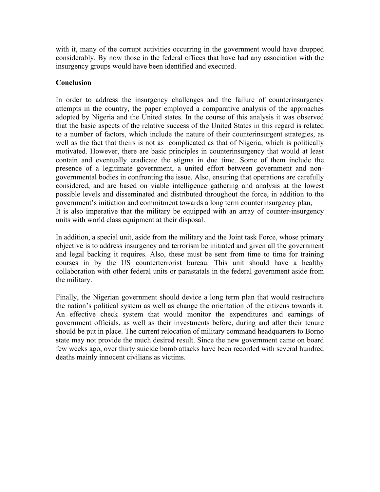with it, many of the corrupt activities occurring in the government would have dropped considerably. By now those in the federal offices that have had any association with the insurgency groups would have been identified and executed.

# **Conclusion**

In order to address the insurgency challenges and the failure of counterinsurgency attempts in the country, the paper employed a comparative analysis of the approaches adopted by Nigeria and the United states. In the course of this analysis it was observed that the basic aspects of the relative success of the United States in this regard is related to a number of factors, which include the nature of their counterinsurgent strategies, as well as the fact that theirs is not as complicated as that of Nigeria, which is politically motivated. However, there are basic principles in counterinsurgency that would at least contain and eventually eradicate the stigma in due time. Some of them include the presence of a legitimate government, a united effort between government and nongovernmental bodies in confronting the issue. Also, ensuring that operations are carefully considered, and are based on viable intelligence gathering and analysis at the lowest possible levels and disseminated and distributed throughout the force, in addition to the government's initiation and commitment towards a long term counterinsurgency plan, It is also imperative that the military be equipped with an array of counter-insurgency units with world class equipment at their disposal.

In addition, a special unit, aside from the military and the Joint task Force, whose primary objective is to address insurgency and terrorism be initiated and given all the government and legal backing it requires. Also, these must be sent from time to time for training courses in by the US counterterrorist bureau. This unit should have a healthy collaboration with other federal units or parastatals in the federal government aside from the military.

Finally, the Nigerian government should device a long term plan that would restructure the nation's political system as well as change the orientation of the citizens towards it. An effective check system that would monitor the expenditures and earnings of government officials, as well as their investments before, during and after their tenure should be put in place. The current relocation of military command headquarters to Borno state may not provide the much desired result. Since the new government came on board few weeks ago, over thirty suicide bomb attacks have been recorded with several hundred deaths mainly innocent civilians as victims.